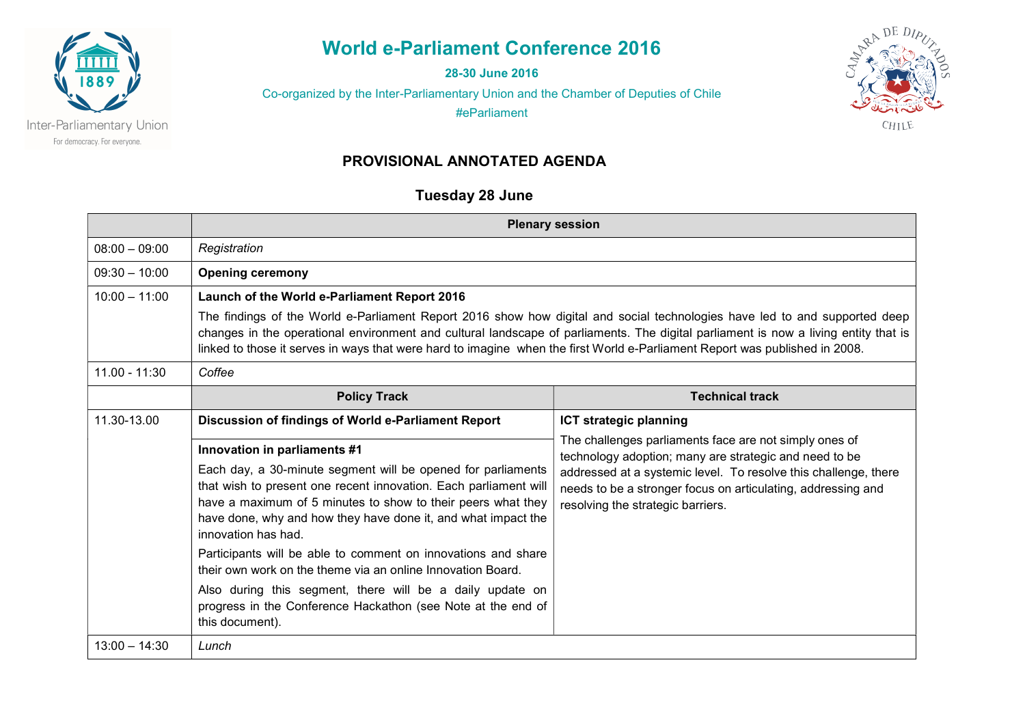

World e-Parliament Conference 2016

28-30 June 2016

Co-organized by the Inter-Parliamentary Union and the Chamber of Deputies of Chile

#eParliament



### PROVISIONAL ANNOTATED AGENDA

## Tuesday 28 June

|                 | <b>Plenary session</b>                                                                                                                                                                                                                                                                                                                                                                                                                                                                                                                                                                |                                                                                                                                                                                                                                                                                          |  |
|-----------------|---------------------------------------------------------------------------------------------------------------------------------------------------------------------------------------------------------------------------------------------------------------------------------------------------------------------------------------------------------------------------------------------------------------------------------------------------------------------------------------------------------------------------------------------------------------------------------------|------------------------------------------------------------------------------------------------------------------------------------------------------------------------------------------------------------------------------------------------------------------------------------------|--|
| $08:00 - 09:00$ | Registration                                                                                                                                                                                                                                                                                                                                                                                                                                                                                                                                                                          |                                                                                                                                                                                                                                                                                          |  |
| $09:30 - 10:00$ | <b>Opening ceremony</b>                                                                                                                                                                                                                                                                                                                                                                                                                                                                                                                                                               |                                                                                                                                                                                                                                                                                          |  |
| $10:00 - 11:00$ | Launch of the World e-Parliament Report 2016<br>The findings of the World e-Parliament Report 2016 show how digital and social technologies have led to and supported deep<br>changes in the operational environment and cultural landscape of parliaments. The digital parliament is now a living entity that is<br>linked to those it serves in ways that were hard to imagine when the first World e-Parliament Report was published in 2008.                                                                                                                                      |                                                                                                                                                                                                                                                                                          |  |
| $11.00 - 11:30$ | Coffee                                                                                                                                                                                                                                                                                                                                                                                                                                                                                                                                                                                |                                                                                                                                                                                                                                                                                          |  |
|                 | <b>Policy Track</b>                                                                                                                                                                                                                                                                                                                                                                                                                                                                                                                                                                   | <b>Technical track</b>                                                                                                                                                                                                                                                                   |  |
| 11.30-13.00     | Discussion of findings of World e-Parliament Report                                                                                                                                                                                                                                                                                                                                                                                                                                                                                                                                   | <b>ICT strategic planning</b>                                                                                                                                                                                                                                                            |  |
|                 | Innovation in parliaments #1<br>Each day, a 30-minute segment will be opened for parliaments<br>that wish to present one recent innovation. Each parliament will<br>have a maximum of 5 minutes to show to their peers what they<br>have done, why and how they have done it, and what impact the<br>innovation has had.<br>Participants will be able to comment on innovations and share<br>their own work on the theme via an online Innovation Board.<br>Also during this segment, there will be a daily update on<br>progress in the Conference Hackathon (see Note at the end of | The challenges parliaments face are not simply ones of<br>technology adoption; many are strategic and need to be<br>addressed at a systemic level. To resolve this challenge, there<br>needs to be a stronger focus on articulating, addressing and<br>resolving the strategic barriers. |  |
| $13:00 - 14:30$ | this document).<br>Lunch                                                                                                                                                                                                                                                                                                                                                                                                                                                                                                                                                              |                                                                                                                                                                                                                                                                                          |  |
|                 |                                                                                                                                                                                                                                                                                                                                                                                                                                                                                                                                                                                       |                                                                                                                                                                                                                                                                                          |  |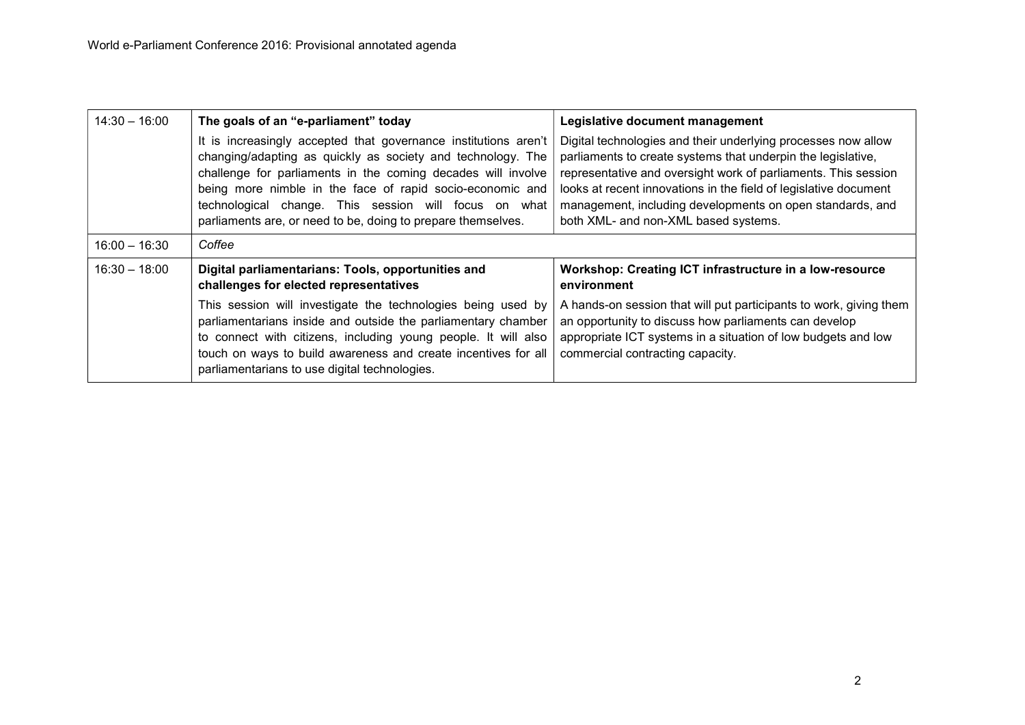| $14:30 - 16:00$ | The goals of an "e-parliament" today                                                                                                                                                                                                                                                                                                                                                 | Legislative document management                                                                                                                                                                                                                                                                                                                                          |
|-----------------|--------------------------------------------------------------------------------------------------------------------------------------------------------------------------------------------------------------------------------------------------------------------------------------------------------------------------------------------------------------------------------------|--------------------------------------------------------------------------------------------------------------------------------------------------------------------------------------------------------------------------------------------------------------------------------------------------------------------------------------------------------------------------|
|                 | It is increasingly accepted that governance institutions aren't<br>changing/adapting as quickly as society and technology. The<br>challenge for parliaments in the coming decades will involve<br>being more nimble in the face of rapid socio-economic and<br>technological change. This session will focus on what<br>parliaments are, or need to be, doing to prepare themselves. | Digital technologies and their underlying processes now allow<br>parliaments to create systems that underpin the legislative,<br>representative and oversight work of parliaments. This session<br>looks at recent innovations in the field of legislative document<br>management, including developments on open standards, and<br>both XML- and non-XML based systems. |
| $16:00 - 16:30$ | Coffee                                                                                                                                                                                                                                                                                                                                                                               |                                                                                                                                                                                                                                                                                                                                                                          |
| $16:30 - 18:00$ | Digital parliamentarians: Tools, opportunities and<br>challenges for elected representatives                                                                                                                                                                                                                                                                                         | Workshop: Creating ICT infrastructure in a low-resource<br>environment                                                                                                                                                                                                                                                                                                   |
|                 | This session will investigate the technologies being used by<br>parliamentarians inside and outside the parliamentary chamber<br>to connect with citizens, including young people. It will also<br>touch on ways to build awareness and create incentives for all<br>parliamentarians to use digital technologies.                                                                   | A hands-on session that will put participants to work, giving them<br>an opportunity to discuss how parliaments can develop<br>appropriate ICT systems in a situation of low budgets and low<br>commercial contracting capacity.                                                                                                                                         |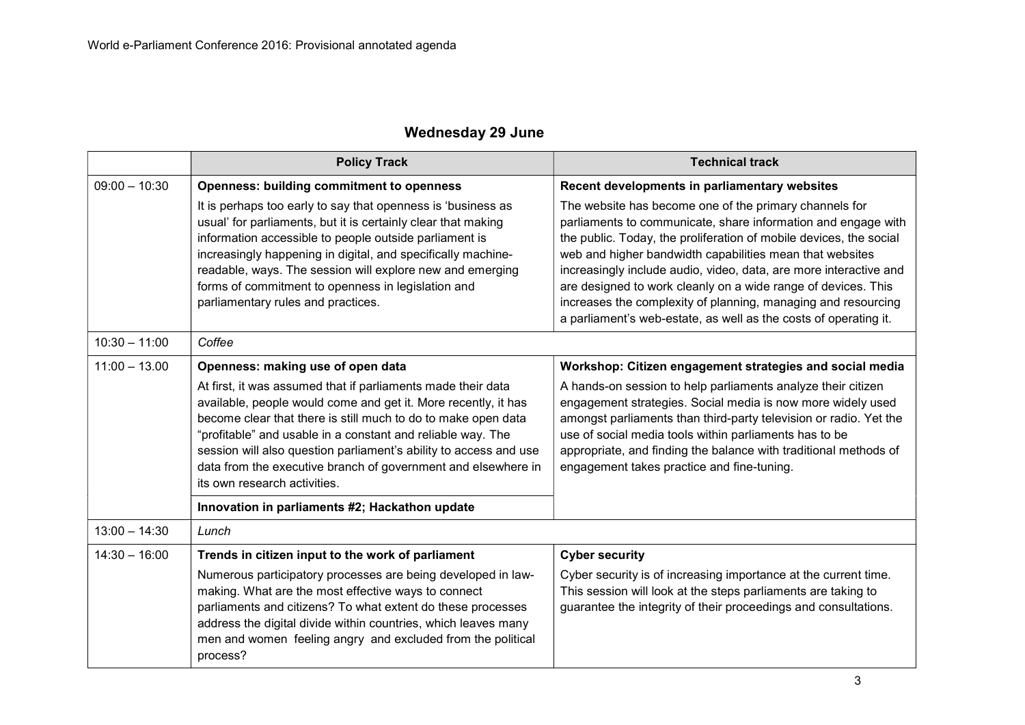## Wednesday 29 June

|                 | <b>Policy Track</b>                                                                                                                                                                                                                                                                                                                                                                                                                  | <b>Technical track</b>                                                                                                                                                                                                                                                                                                                                                                                                                                                                                                               |
|-----------------|--------------------------------------------------------------------------------------------------------------------------------------------------------------------------------------------------------------------------------------------------------------------------------------------------------------------------------------------------------------------------------------------------------------------------------------|--------------------------------------------------------------------------------------------------------------------------------------------------------------------------------------------------------------------------------------------------------------------------------------------------------------------------------------------------------------------------------------------------------------------------------------------------------------------------------------------------------------------------------------|
| $09:00 - 10:30$ | <b>Openness: building commitment to openness</b>                                                                                                                                                                                                                                                                                                                                                                                     | Recent developments in parliamentary websites                                                                                                                                                                                                                                                                                                                                                                                                                                                                                        |
|                 | It is perhaps too early to say that openness is 'business as<br>usual' for parliaments, but it is certainly clear that making<br>information accessible to people outside parliament is<br>increasingly happening in digital, and specifically machine-<br>readable, ways. The session will explore new and emerging<br>forms of commitment to openness in legislation and<br>parliamentary rules and practices.                     | The website has become one of the primary channels for<br>parliaments to communicate, share information and engage with<br>the public. Today, the proliferation of mobile devices, the social<br>web and higher bandwidth capabilities mean that websites<br>increasingly include audio, video, data, are more interactive and<br>are designed to work cleanly on a wide range of devices. This<br>increases the complexity of planning, managing and resourcing<br>a parliament's web-estate, as well as the costs of operating it. |
| $10:30 - 11:00$ | Coffee                                                                                                                                                                                                                                                                                                                                                                                                                               |                                                                                                                                                                                                                                                                                                                                                                                                                                                                                                                                      |
| $11:00 - 13.00$ | Openness: making use of open data                                                                                                                                                                                                                                                                                                                                                                                                    | Workshop: Citizen engagement strategies and social media                                                                                                                                                                                                                                                                                                                                                                                                                                                                             |
|                 | At first, it was assumed that if parliaments made their data<br>available, people would come and get it. More recently, it has<br>become clear that there is still much to do to make open data<br>"profitable" and usable in a constant and reliable way. The<br>session will also question parliament's ability to access and use<br>data from the executive branch of government and elsewhere in<br>its own research activities. | A hands-on session to help parliaments analyze their citizen<br>engagement strategies. Social media is now more widely used<br>amongst parliaments than third-party television or radio. Yet the<br>use of social media tools within parliaments has to be<br>appropriate, and finding the balance with traditional methods of<br>engagement takes practice and fine-tuning.                                                                                                                                                         |
|                 | Innovation in parliaments #2; Hackathon update                                                                                                                                                                                                                                                                                                                                                                                       |                                                                                                                                                                                                                                                                                                                                                                                                                                                                                                                                      |
| $13:00 - 14:30$ | Lunch                                                                                                                                                                                                                                                                                                                                                                                                                                |                                                                                                                                                                                                                                                                                                                                                                                                                                                                                                                                      |
| $14:30 - 16:00$ | Trends in citizen input to the work of parliament                                                                                                                                                                                                                                                                                                                                                                                    | <b>Cyber security</b>                                                                                                                                                                                                                                                                                                                                                                                                                                                                                                                |
|                 | Numerous participatory processes are being developed in law-<br>making. What are the most effective ways to connect<br>parliaments and citizens? To what extent do these processes<br>address the digital divide within countries, which leaves many<br>men and women feeling angry and excluded from the political<br>process?                                                                                                      | Cyber security is of increasing importance at the current time.<br>This session will look at the steps parliaments are taking to<br>guarantee the integrity of their proceedings and consultations.                                                                                                                                                                                                                                                                                                                                  |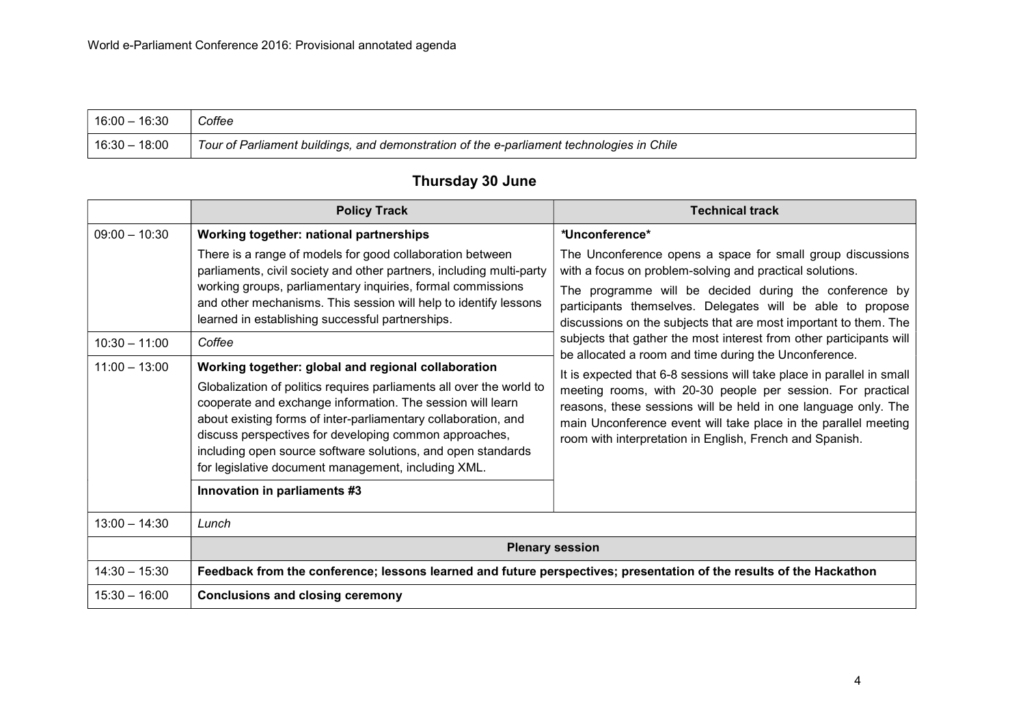. F

| $^{\prime}$ 16:00 – 16:30 | Coffee                                                                                    |  |
|---------------------------|-------------------------------------------------------------------------------------------|--|
| $16:30 - 18:00$           | Tour of Parliament buildings, and demonstration of the e-parliament technologies in Chile |  |

|                                                       | <b>Policy Track</b>                                                                                                                                                                                                                                                                                                                                                                                                                                                                                                                                                                                                                                                                                                                                                                                                                                           | <b>Technical track</b>                                                                                                                                                                                                                                                                                                                                                                                                                                                                                                                                                                                                                                                                                                                                                                                        |
|-------------------------------------------------------|---------------------------------------------------------------------------------------------------------------------------------------------------------------------------------------------------------------------------------------------------------------------------------------------------------------------------------------------------------------------------------------------------------------------------------------------------------------------------------------------------------------------------------------------------------------------------------------------------------------------------------------------------------------------------------------------------------------------------------------------------------------------------------------------------------------------------------------------------------------|---------------------------------------------------------------------------------------------------------------------------------------------------------------------------------------------------------------------------------------------------------------------------------------------------------------------------------------------------------------------------------------------------------------------------------------------------------------------------------------------------------------------------------------------------------------------------------------------------------------------------------------------------------------------------------------------------------------------------------------------------------------------------------------------------------------|
| $09:00 - 10:30$<br>$10:30 - 11:00$<br>$11:00 - 13:00$ | Working together: national partnerships<br>There is a range of models for good collaboration between<br>parliaments, civil society and other partners, including multi-party<br>working groups, parliamentary inquiries, formal commissions<br>and other mechanisms. This session will help to identify lessons<br>learned in establishing successful partnerships.<br>Coffee<br>Working together: global and regional collaboration<br>Globalization of politics requires parliaments all over the world to<br>cooperate and exchange information. The session will learn<br>about existing forms of inter-parliamentary collaboration, and<br>discuss perspectives for developing common approaches,<br>including open source software solutions, and open standards<br>for legislative document management, including XML.<br>Innovation in parliaments #3 | *Unconference*<br>The Unconference opens a space for small group discussions<br>with a focus on problem-solving and practical solutions.<br>The programme will be decided during the conference by<br>participants themselves. Delegates will be able to propose<br>discussions on the subjects that are most important to them. The<br>subjects that gather the most interest from other participants will<br>be allocated a room and time during the Unconference.<br>It is expected that 6-8 sessions will take place in parallel in small<br>meeting rooms, with 20-30 people per session. For practical<br>reasons, these sessions will be held in one language only. The<br>main Unconference event will take place in the parallel meeting<br>room with interpretation in English, French and Spanish. |
| $13:00 - 14:30$                                       | Lunch                                                                                                                                                                                                                                                                                                                                                                                                                                                                                                                                                                                                                                                                                                                                                                                                                                                         |                                                                                                                                                                                                                                                                                                                                                                                                                                                                                                                                                                                                                                                                                                                                                                                                               |
|                                                       | <b>Plenary session</b>                                                                                                                                                                                                                                                                                                                                                                                                                                                                                                                                                                                                                                                                                                                                                                                                                                        |                                                                                                                                                                                                                                                                                                                                                                                                                                                                                                                                                                                                                                                                                                                                                                                                               |
| $14:30 - 15:30$                                       | Feedback from the conference; lessons learned and future perspectives; presentation of the results of the Hackathon                                                                                                                                                                                                                                                                                                                                                                                                                                                                                                                                                                                                                                                                                                                                           |                                                                                                                                                                                                                                                                                                                                                                                                                                                                                                                                                                                                                                                                                                                                                                                                               |
| $15:30 - 16:00$                                       | <b>Conclusions and closing ceremony</b>                                                                                                                                                                                                                                                                                                                                                                                                                                                                                                                                                                                                                                                                                                                                                                                                                       |                                                                                                                                                                                                                                                                                                                                                                                                                                                                                                                                                                                                                                                                                                                                                                                                               |

# Thursday 30 June

╼